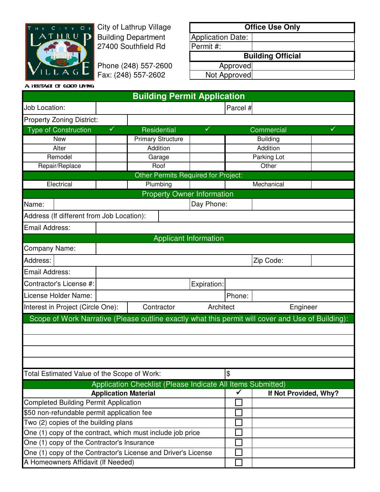

City of Lathrup Village Building Department 27400 Southfield Rd

Phone (248) 557-2600 | Approved Fax: (248) 557-2602 Not Approved

| <b>Office Use Only</b>   |  |  |  |  |  |
|--------------------------|--|--|--|--|--|
|                          |  |  |  |  |  |
|                          |  |  |  |  |  |
| <b>Building Official</b> |  |  |  |  |  |
| Approved                 |  |  |  |  |  |
| Not Approved             |  |  |  |  |  |
|                          |  |  |  |  |  |

|                                                                                                   |              |                          |             | <b>Building Permit Application</b>  |            |                       |   |  |
|---------------------------------------------------------------------------------------------------|--------------|--------------------------|-------------|-------------------------------------|------------|-----------------------|---|--|
| Job Location:                                                                                     |              |                          |             |                                     | Parcel #   |                       |   |  |
| <b>Property Zoning District:</b>                                                                  |              |                          |             |                                     |            |                       |   |  |
| <b>Type of Construction</b>                                                                       | $\checkmark$ |                          | Residential | $\checkmark$                        |            | Commercial            | ✓ |  |
| <b>New</b>                                                                                        |              | <b>Primary Structure</b> |             |                                     |            | <b>Building</b>       |   |  |
| Alter                                                                                             |              | Addition                 |             |                                     |            | Addition              |   |  |
| Remodel                                                                                           |              | Garage                   |             |                                     |            | Parking Lot           |   |  |
| Repair/Replace                                                                                    |              | Roof                     |             |                                     | Other      |                       |   |  |
|                                                                                                   |              |                          |             | Other Permits Required for Project: |            |                       |   |  |
| Electrical                                                                                        |              |                          | Plumbing    |                                     | Mechanical |                       |   |  |
|                                                                                                   |              |                          |             | <b>Property Owner Information</b>   |            |                       |   |  |
| Name:                                                                                             |              |                          |             | Day Phone:                          |            |                       |   |  |
| Address (If different from Job Location):                                                         |              |                          |             |                                     |            |                       |   |  |
| <b>Email Address:</b>                                                                             |              |                          |             |                                     |            |                       |   |  |
|                                                                                                   |              |                          |             | <b>Applicant Information</b>        |            |                       |   |  |
| Company Name:                                                                                     |              |                          |             |                                     |            |                       |   |  |
| Address:                                                                                          |              |                          |             |                                     |            | Zip Code:             |   |  |
| Email Address:                                                                                    |              |                          |             |                                     |            |                       |   |  |
| Contractor's License #:                                                                           |              |                          |             | Expiration:                         |            |                       |   |  |
| License Holder Name:                                                                              |              | Phone:                   |             |                                     |            |                       |   |  |
| Interest in Project (Circle One):<br>Contractor                                                   |              |                          | Architect   | Engineer                            |            |                       |   |  |
| Scope of Work Narrative (Please outline exactly what this permit will cover and Use of Building): |              |                          |             |                                     |            |                       |   |  |
|                                                                                                   |              |                          |             |                                     |            |                       |   |  |
|                                                                                                   |              |                          |             |                                     |            |                       |   |  |
|                                                                                                   |              |                          |             |                                     |            |                       |   |  |
|                                                                                                   |              |                          |             |                                     |            |                       |   |  |
| Total Estimated Value of the Scope of Work:                                                       |              |                          |             | \$                                  |            |                       |   |  |
|                                                                                                   |              |                          |             |                                     |            |                       |   |  |
| Application Checklist (Please Indicate All Items Submitted)<br><b>Application Material</b>        |              |                          |             |                                     | ✔          | If Not Provided, Why? |   |  |
| <b>Completed Building Permit Application</b>                                                      |              |                          |             |                                     |            |                       |   |  |
| \$50 non-refundable permit application fee                                                        |              |                          |             |                                     |            |                       |   |  |
| Two (2) copies of the building plans                                                              |              |                          |             |                                     |            |                       |   |  |
| One (1) copy of the contract, which must include job price                                        |              |                          |             |                                     |            |                       |   |  |
| One (1) copy of the Contractor's Insurance                                                        |              |                          |             |                                     |            |                       |   |  |
| One (1) copy of the Contractor's License and Driver's License                                     |              |                          |             |                                     |            |                       |   |  |
| A Homeowners Affidavit (If Needed)                                                                |              |                          |             |                                     |            |                       |   |  |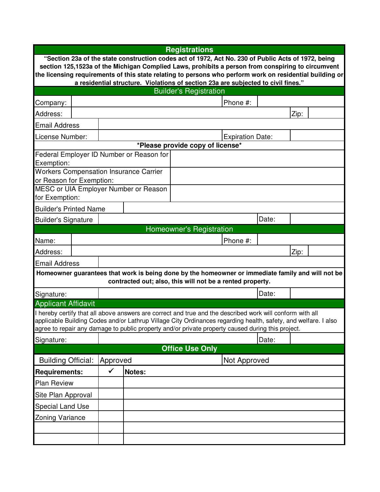|                                                                                                                                                                                                               | <b>Registrations</b>                                                              |                          |                                               |                                                                                                                                                                                                                     |                         |       |      |  |
|---------------------------------------------------------------------------------------------------------------------------------------------------------------------------------------------------------------|-----------------------------------------------------------------------------------|--------------------------|-----------------------------------------------|---------------------------------------------------------------------------------------------------------------------------------------------------------------------------------------------------------------------|-------------------------|-------|------|--|
| "Section 23a of the state construction codes act of 1972, Act No. 230 of Public Acts of 1972, being                                                                                                           |                                                                                   |                          |                                               |                                                                                                                                                                                                                     |                         |       |      |  |
| section 125,1523a of the Michigan Complied Laws, prohibits a person from conspiring to circumvent<br>the licensing requirements of this state relating to persons who perform work on residential building or |                                                                                   |                          |                                               |                                                                                                                                                                                                                     |                         |       |      |  |
|                                                                                                                                                                                                               | a residential structure. Violations of section 23a are subjected to civil fines." |                          |                                               |                                                                                                                                                                                                                     |                         |       |      |  |
|                                                                                                                                                                                                               |                                                                                   |                          |                                               | <b>Builder's Registration</b>                                                                                                                                                                                       |                         |       |      |  |
| Company:                                                                                                                                                                                                      |                                                                                   |                          |                                               |                                                                                                                                                                                                                     | Phone #:                |       |      |  |
| Address:                                                                                                                                                                                                      | Zip:                                                                              |                          |                                               |                                                                                                                                                                                                                     |                         |       |      |  |
| <b>Email Address</b>                                                                                                                                                                                          |                                                                                   |                          |                                               |                                                                                                                                                                                                                     |                         |       |      |  |
| License Number:                                                                                                                                                                                               |                                                                                   |                          |                                               |                                                                                                                                                                                                                     | <b>Expiration Date:</b> |       |      |  |
|                                                                                                                                                                                                               |                                                                                   |                          |                                               | *Please provide copy of license*                                                                                                                                                                                    |                         |       |      |  |
| Exemption:                                                                                                                                                                                                    |                                                                                   |                          | Federal Employer ID Number or Reason for      |                                                                                                                                                                                                                     |                         |       |      |  |
| or Reason for Exemption:                                                                                                                                                                                      |                                                                                   |                          | <b>Workers Compensation Insurance Carrier</b> |                                                                                                                                                                                                                     |                         |       |      |  |
|                                                                                                                                                                                                               |                                                                                   |                          | MESC or UIA Employer Number or Reason         |                                                                                                                                                                                                                     |                         |       |      |  |
| for Exemption:                                                                                                                                                                                                |                                                                                   |                          |                                               |                                                                                                                                                                                                                     |                         |       |      |  |
| <b>Builder's Printed Name</b>                                                                                                                                                                                 |                                                                                   |                          |                                               |                                                                                                                                                                                                                     |                         |       |      |  |
| <b>Builder's Signature</b>                                                                                                                                                                                    |                                                                                   |                          |                                               |                                                                                                                                                                                                                     |                         | Date: |      |  |
| Homeowner's Registration                                                                                                                                                                                      |                                                                                   |                          |                                               |                                                                                                                                                                                                                     |                         |       |      |  |
| Name:                                                                                                                                                                                                         |                                                                                   |                          |                                               |                                                                                                                                                                                                                     | Phone #:                |       |      |  |
| Address:                                                                                                                                                                                                      |                                                                                   |                          |                                               |                                                                                                                                                                                                                     |                         |       | Zip: |  |
| <b>Email Address</b>                                                                                                                                                                                          |                                                                                   |                          |                                               |                                                                                                                                                                                                                     |                         |       |      |  |
| Homeowner guarantees that work is being done by the homeowner or immediate family and will not be<br>contracted out; also, this will not be a rented property.                                                |                                                                                   |                          |                                               |                                                                                                                                                                                                                     |                         |       |      |  |
| Signature:                                                                                                                                                                                                    |                                                                                   |                          |                                               |                                                                                                                                                                                                                     |                         | Date: |      |  |
| <b>Applicant Affidavit</b>                                                                                                                                                                                    |                                                                                   |                          |                                               |                                                                                                                                                                                                                     |                         |       |      |  |
|                                                                                                                                                                                                               |                                                                                   |                          |                                               | I hereby certify that all above answers are correct and true and the described work will conform with all                                                                                                           |                         |       |      |  |
|                                                                                                                                                                                                               |                                                                                   |                          |                                               | applicable Building Codes and/or Lathrup Village City Ordinances regarding health, safety, and welfare. I also<br>agree to repair any damage to public property and/or private property caused during this project. |                         |       |      |  |
| Signature:                                                                                                                                                                                                    |                                                                                   |                          |                                               |                                                                                                                                                                                                                     |                         | Date: |      |  |
| <b>Office Use Only</b>                                                                                                                                                                                        |                                                                                   |                          |                                               |                                                                                                                                                                                                                     |                         |       |      |  |
| <b>Building Official:</b>                                                                                                                                                                                     |                                                                                   | Not Approved<br>Approved |                                               |                                                                                                                                                                                                                     |                         |       |      |  |
| <b>Requirements:</b>                                                                                                                                                                                          |                                                                                   | $\checkmark$             | Notes:                                        |                                                                                                                                                                                                                     |                         |       |      |  |
| <b>Plan Review</b>                                                                                                                                                                                            |                                                                                   |                          |                                               |                                                                                                                                                                                                                     |                         |       |      |  |
| Site Plan Approval                                                                                                                                                                                            |                                                                                   |                          |                                               |                                                                                                                                                                                                                     |                         |       |      |  |
| <b>Special Land Use</b>                                                                                                                                                                                       |                                                                                   |                          |                                               |                                                                                                                                                                                                                     |                         |       |      |  |
| <b>Zoning Variance</b>                                                                                                                                                                                        |                                                                                   |                          |                                               |                                                                                                                                                                                                                     |                         |       |      |  |
|                                                                                                                                                                                                               |                                                                                   |                          |                                               |                                                                                                                                                                                                                     |                         |       |      |  |
|                                                                                                                                                                                                               |                                                                                   |                          |                                               |                                                                                                                                                                                                                     |                         |       |      |  |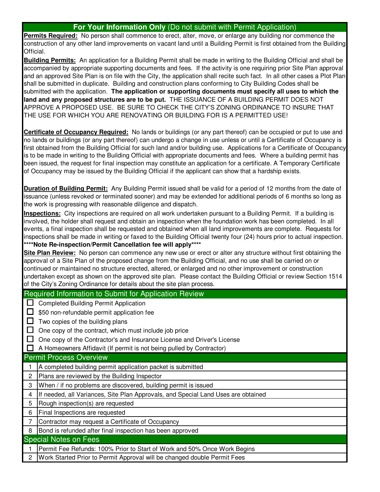## **For Your Information Only** (Do not submit with Permit Application)

**Permits Required:** No person shall commence to erect, alter, move, or enlarge any building nor commence the construction of any other land improvements on vacant land until a Building Permit is first obtained from the Building Official.

**Building Permits:** An application for a Building Permit shall be made in writing to the Building Official and shall be accompanied by appropriate supporting documents and fees. If the activity is one requiring prior Site Plan approval and an approved Site Plan is on file with the City, the application shall recite such fact. In all other cases a Plot Plan shall be submitted in duplicate. Building and construction plans conforming to City Building Codes shall be submitted with the application. **The application or supporting documents must specify all uses to which the land and any proposed structures are to be put.** THE ISSUANCE OF A BUILDING PERMIT DOES NOT APPROVE A PROPOSED USE. BE SURE TO CHECK THE CITY'S ZONING ORDINANCE TO INSURE THAT THE USE FOR WHICH YOU ARE RENOVATING OR BUILDING FOR IS A PERMITTED USE!

**Certificate of Occupancy Required:** No lands or buildings (or any part thereof) can be occupied or put to use and no lands or buildings (or any part thereof) can undergo a change in use unless or until a Certificate of Occupancy is first obtained from the Building Official for such land and/or building use. Applications for a Certificate of Occupancy is to be made in writing to the Building Official with appropriate documents and fees. Where a building permit has been issued, the request for final inspection may constitute an application for a certificate. A Temporary Certificate of Occupancy may be issued by the Building Official if the applicant can show that a hardship exists.

**Duration of Building Permit:** Any Building Permit issued shall be valid for a period of 12 months from the date of issuance (unless revoked or terminated sooner) and may be extended for additional periods of 6 months so long as the work is progressing with reasonable diligence and dispatch.

**Inspections:** City inspections are required on all work undertaken pursuant to a Building Permit. If a building is involved, the holder shall request and obtain an inspection when the foundation work has been completed. In all events, a final inspection shall be requested and obtained when all land improvements are complete. Requests for inspections shall be made in writing or faxed to the Building Official twenty four (24) hours prior to actual inspection. **\*\*\*\*Note Re-inspection/Permit Cancellation fee will apply\*\*\*\*** 

**Site Plan Review:** No person can commence any new use or erect or alter any structure without first obtaining the approval of a Site Plan of the proposed change from the Building Official, and no use shall be carried on or continued or maintained no structure erected, altered, or enlarged and no other improvement or construction undertaken except as shown on the approved site plan. Please contact the Building Official or review Section 1514 of the City's Zoning Ordinance for details about the site plan process.

## Required Information to Submit for Application Review

**Completed Building Permit Application** 

□ \$50 non-refundable permit application fee

 $\Box$  Two copies of the building plans

- $\Box$  One copy of the contract, which must include job price
- □ One copy of the Contractor's and Insurance License and Driver's License

-A Homeowners Affidavit (If permit is not being pulled by Contractor)

## Permit Process Overview

- 1 A completed building permit application packet is submitted
- 2 Plans are reviewed by the Building Inspector
- 3 When / if no problems are discovered, building permit is issued
- 4 If needed, all Variances, Site Plan Approvals, and Special Land Uses are obtained

5 Rough inspection(s) are requested

6 Final Inspections are requested

7 Contractor may request a Certificate of Occupancy

8 Bond is refunded after final inspection has been approved

## Special Notes on Fees

1 Permit Fee Refunds: 100% Prior to Start of Work and 50% Once Work Begins

2 Work Started Prior to Permit Approval will be changed double Permit Fees